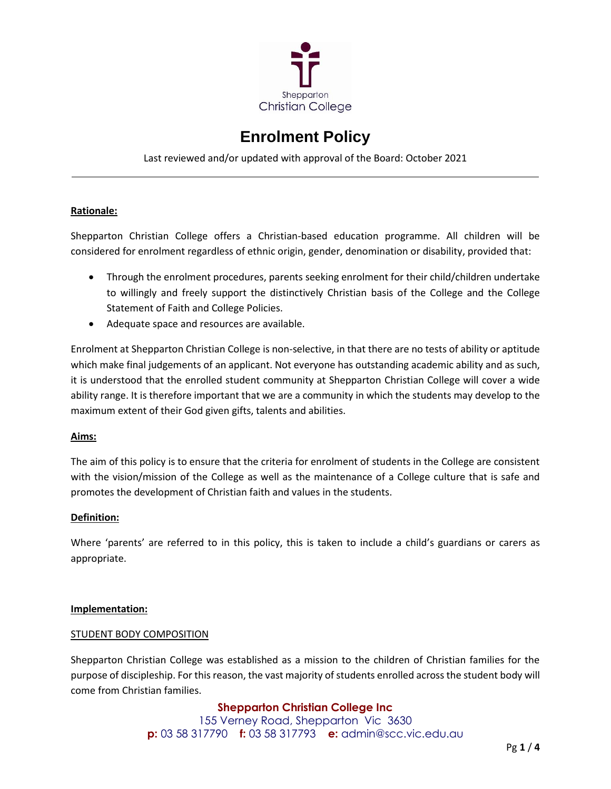

# **Enrolment Policy**

Last reviewed and/or updated with approval of the Board: October 2021

# **Rationale:**

Shepparton Christian College offers a Christian-based education programme. All children will be considered for enrolment regardless of ethnic origin, gender, denomination or disability, provided that:

- Through the enrolment procedures, parents seeking enrolment for their child/children undertake to willingly and freely support the distinctively Christian basis of the College and the College Statement of Faith and College Policies.
- Adequate space and resources are available.

Enrolment at Shepparton Christian College is non-selective, in that there are no tests of ability or aptitude which make final judgements of an applicant. Not everyone has outstanding academic ability and as such, it is understood that the enrolled student community at Shepparton Christian College will cover a wide ability range. It is therefore important that we are a community in which the students may develop to the maximum extent of their God given gifts, talents and abilities.

# **Aims:**

The aim of this policy is to ensure that the criteria for enrolment of students in the College are consistent with the vision/mission of the College as well as the maintenance of a College culture that is safe and promotes the development of Christian faith and values in the students.

# **Definition:**

Where 'parents' are referred to in this policy, this is taken to include a child's guardians or carers as appropriate.

#### **Implementation:**

#### STUDENT BODY COMPOSITION

Shepparton Christian College was established as a mission to the children of Christian families for the purpose of discipleship. For this reason, the vast majority of students enrolled across the student body will come from Christian families.

# **Shepparton Christian College Inc**

155 Verney Road, Shepparton Vic 3630 **p:** 03 58 317790 **f:** 03 58 317793 **e:** admin@scc.vic.edu.au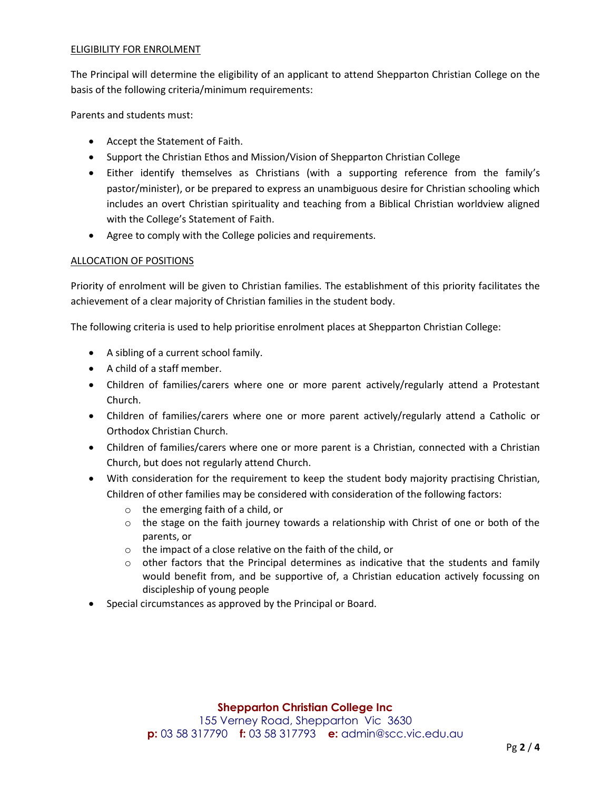#### ELIGIBILITY FOR ENROLMENT

The Principal will determine the eligibility of an applicant to attend Shepparton Christian College on the basis of the following criteria/minimum requirements:

Parents and students must:

- Accept the Statement of Faith.
- Support the Christian Ethos and Mission/Vision of Shepparton Christian College
- Either identify themselves as Christians (with a supporting reference from the family's pastor/minister), or be prepared to express an unambiguous desire for Christian schooling which includes an overt Christian spirituality and teaching from a Biblical Christian worldview aligned with the College's Statement of Faith.
- Agree to comply with the College policies and requirements.

# ALLOCATION OF POSITIONS

Priority of enrolment will be given to Christian families. The establishment of this priority facilitates the achievement of a clear majority of Christian families in the student body.

The following criteria is used to help prioritise enrolment places at Shepparton Christian College:

- A sibling of a current school family.
- A child of a staff member.
- Children of families/carers where one or more parent actively/regularly attend a Protestant Church.
- Children of families/carers where one or more parent actively/regularly attend a Catholic or Orthodox Christian Church.
- Children of families/carers where one or more parent is a Christian, connected with a Christian Church, but does not regularly attend Church.
- With consideration for the requirement to keep the student body majority practising Christian, Children of other families may be considered with consideration of the following factors:
	- o the emerging faith of a child, or
	- $\circ$  the stage on the faith journey towards a relationship with Christ of one or both of the parents, or
	- o the impact of a close relative on the faith of the child, or
	- $\circ$  other factors that the Principal determines as indicative that the students and family would benefit from, and be supportive of, a Christian education actively focussing on discipleship of young people
- Special circumstances as approved by the Principal or Board.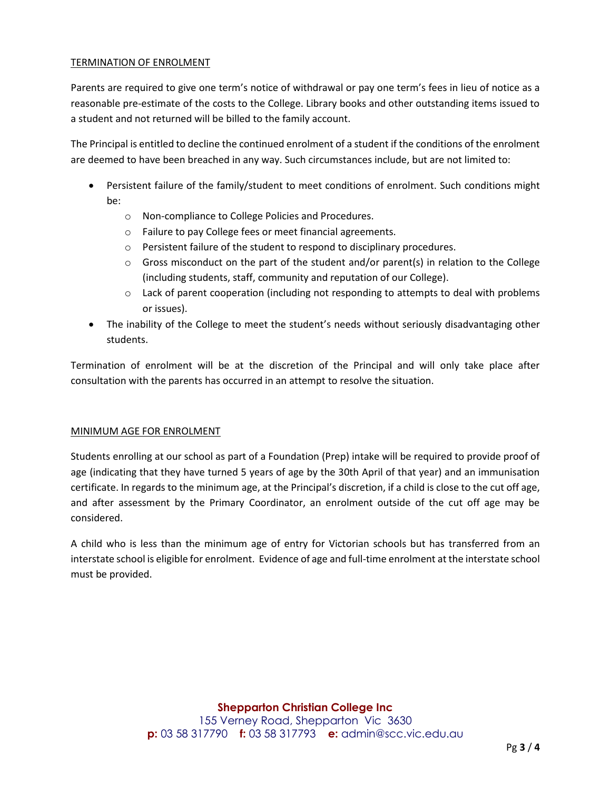# TERMINATION OF ENROLMENT

Parents are required to give one term's notice of withdrawal or pay one term's fees in lieu of notice as a reasonable pre-estimate of the costs to the College. Library books and other outstanding items issued to a student and not returned will be billed to the family account.

The Principal is entitled to decline the continued enrolment of a student if the conditions of the enrolment are deemed to have been breached in any way. Such circumstances include, but are not limited to:

- Persistent failure of the family/student to meet conditions of enrolment. Such conditions might be:
	- o Non-compliance to College Policies and Procedures.
	- o Failure to pay College fees or meet financial agreements.
	- o Persistent failure of the student to respond to disciplinary procedures.
	- $\circ$  Gross misconduct on the part of the student and/or parent(s) in relation to the College (including students, staff, community and reputation of our College).
	- $\circ$  Lack of parent cooperation (including not responding to attempts to deal with problems or issues).
- The inability of the College to meet the student's needs without seriously disadvantaging other students.

Termination of enrolment will be at the discretion of the Principal and will only take place after consultation with the parents has occurred in an attempt to resolve the situation.

# MINIMUM AGE FOR ENROLMENT

Students enrolling at our school as part of a Foundation (Prep) intake will be required to provide proof of age (indicating that they have turned 5 years of age by the 30th April of that year) and an immunisation certificate. In regards to the minimum age, at the Principal's discretion, if a child is close to the cut off age, and after assessment by the Primary Coordinator, an enrolment outside of the cut off age may be considered.

A child who is less than the minimum age of entry for Victorian schools but has transferred from an interstate school is eligible for enrolment. Evidence of age and full-time enrolment at the interstate school must be provided.

# **Shepparton Christian College Inc**

155 Verney Road, Shepparton Vic 3630 **p:** 03 58 317790 **f:** 03 58 317793 **e:** admin@scc.vic.edu.au